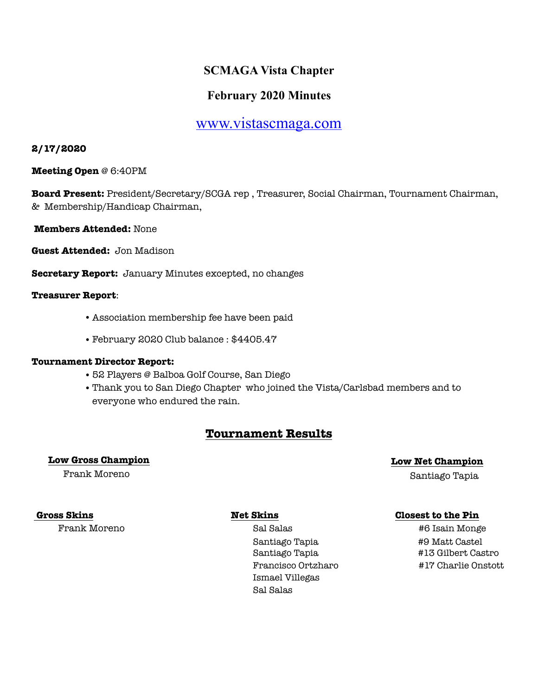# **SCMAGA Vista Chapter**

# **February 2020 Minutes**

# [www.vistascmaga.com](http://www.vistascmaga.com)

# **2/17/2020**

**Meeting Open** @ 6:40PM

**Board Present:** President/Secretary/SCGA rep , Treasurer, Social Chairman, Tournament Chairman, & Membership/Handicap Chairman,

**Members Attended:** None

**Guest Attended:** Jon Madison

**Secretary Report:** January Minutes excepted, no changes

## **Treasurer Report**:

- Association membership fee have been paid
- •February 2020 Club balance : \$4405.47

## **Tournament Director Report:**

- •52 Players @ Balboa Golf Course, San Diego
- •Thank you to San Diego Chapter who joined the Vista/Carlsbad members and to everyone who endured the rain.

# **Tournament Results**

# **Low Gross Champion Low Net Champion**

Frank Moreno Santiago Tapia

Frank Moreno Sal Salas #6 Isain Monge Santiago Tapia #9 Matt Castel Santiago Tapia #13 Gilbert Castro Ismael Villegas Sal Salas

# **Gross Skins Net Skins Closest to the Pin**

Francisco Ortzharo #17 Charlie Onstott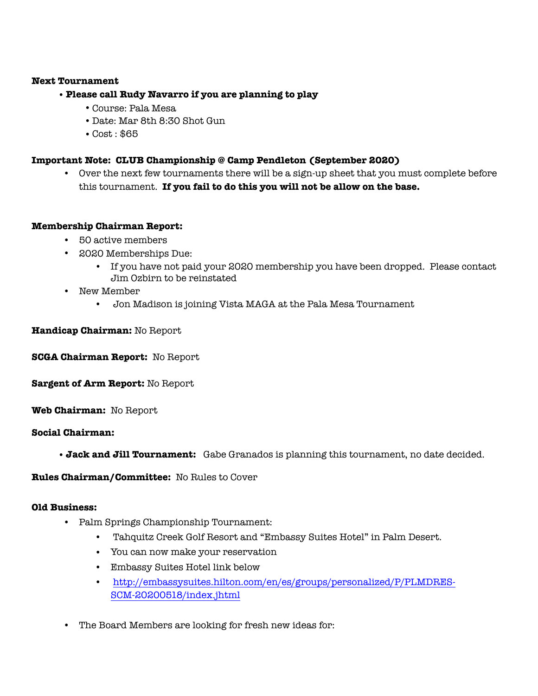### **Next Tournament**

# •**Please call Rudy Navarro if you are planning to play**

- •Course: Pala Mesa
- Date: Mar 8th 8:30 Shot Gun
- •Cost : \$65

## **Important Note: CLUB Championship @ Camp Pendleton (September 2020)**

**•** Over the next few tournaments there will be a sign-up sheet that you must complete before this tournament. **If you fail to do this you will not be allow on the base.**

## **Membership Chairman Report:**

- 50 active members
- 2020 Memberships Due:
	- If you have not paid your 2020 membership you have been dropped. Please contact Jim Ozbirn to be reinstated
- New Member
	- Jon Madison is joining Vista MAGA at the Pala Mesa Tournament

# **Handicap Chairman:** No Report

**SCGA Chairman Report:** No Report

**Sargent of Arm Report:** No Report

**Web Chairman:** No Report

## **Social Chairman:**

•**Jack and Jill Tournament:** Gabe Granados is planning this tournament, no date decided.

**Rules Chairman/Committee:** No Rules to Cover

## **Old Business:**

- Palm Springs Championship Tournament:
	- Tahquitz Creek Golf Resort and "Embassy Suites Hotel" in Palm Desert.
	- You can now make your reservation
	- Embassy Suites Hotel link below
	- [http://embassysuites.hilton.com/en/es/groups/personalized/P/PLMDRES-](http://embassysuites.hilton.com/en/es/groups/personalized/P/PLMDRES-SCM-20200518/index.jhtml)SCM-20200518/index.jhtml
- The Board Members are looking for fresh new ideas for: